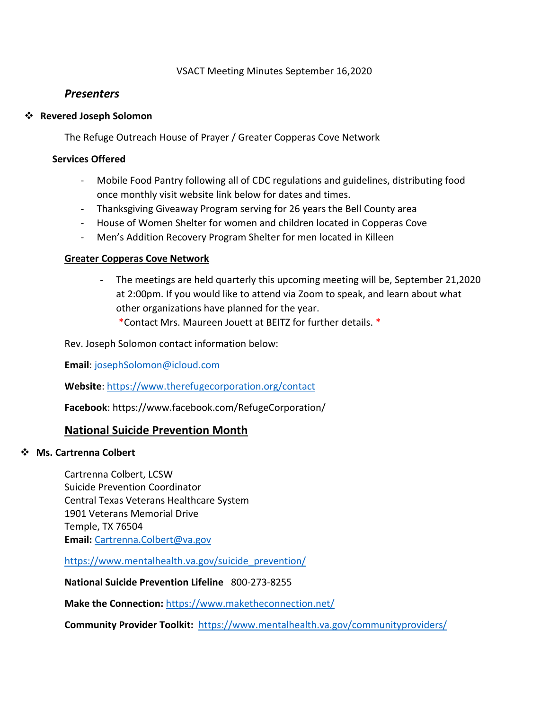## VSACT Meeting Minutes September 16,2020

# *Presenters*

### **Revered Joseph Solomon**

The Refuge Outreach House of Prayer / Greater Copperas Cove Network

### **Services Offered**

- Mobile Food Pantry following all of CDC regulations and guidelines, distributing food once monthly visit website link below for dates and times.
- Thanksgiving Giveaway Program serving for 26 years the Bell County area
- House of Women Shelter for women and children located in Copperas Cove
- Men's Addition Recovery Program Shelter for men located in Killeen

# **Greater Copperas Cove Network**

- The meetings are held quarterly this upcoming meeting will be, September 21,2020 at 2:00pm. If you would like to attend via Zoom to speak, and learn about what other organizations have planned for the year.
	- \*Contact Mrs. Maureen Jouett at BEITZ for further details. \*

Rev. Joseph Solomon contact information below:

**Email**: [josephSolomon@icloud.com](mailto:josephSolomon@icloud.com)

**Website**:<https://www.therefugecorporation.org/contact>

**Facebook**: https://www.facebook.com/RefugeCorporation/

# **National Suicide Prevention Month**

### **Ms. Cartrenna Colbert**

Cartrenna Colbert, LCSW Suicide Prevention Coordinator Central Texas Veterans Healthcare System 1901 Veterans Memorial Drive Temple, TX 76504 **Email:** [Cartrenna.Colbert@va.gov](mailto:Cartrenna.Colbert@va.gov)

[https://www.mentalhealth.va.gov/suicide\\_prevention/](https://www.mentalhealth.va.gov/suicide_prevention/)

**National Suicide Prevention Lifeline** 800-273-8255

**Make the Connection:** <https://www.maketheconnection.net/>

**Community Provider Toolkit:** <https://www.mentalhealth.va.gov/communityproviders/>